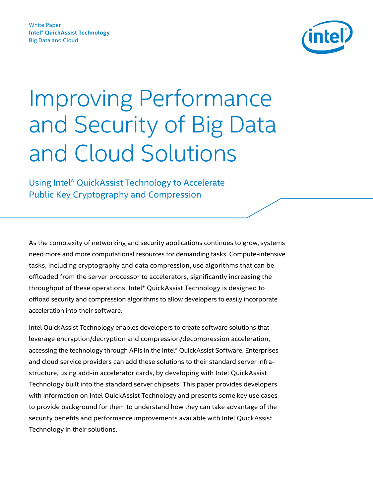

Using Intel® QuickAssist Technology to Accelerate Public Key Cryptography and Compression

As the complexity of networking and security applications continues to grow, systems need more and more computational resources for demanding tasks. Compute-intensive tasks, including cryptography and data compression, use algorithms that can be offloaded from the server processor to accelerators, significantly increasing the throughput of these operations. Intel® QuickAssist Technology is designed to offload security and compression algorithms to allow developers to easily incorporate acceleration into their software.

Intel QuickAssist Technology enables developers to create software solutions that leverage encryption/decryption and compression/decompression acceleration, accessing the technology through APIs in the Intel® QuickAssist Software. Enterprises and cloud service providers can add these solutions to their standard server infrastructure, using add-in accelerator cards, by developing with Intel QuickAssist Technology built into the standard server chipsets. This paper provides developers with information on Intel QuickAssist Technology and presents some key use cases to provide background for them to understand how they can take advantage of the security benefits and performance improvements available with Intel QuickAssist Technology in their solutions.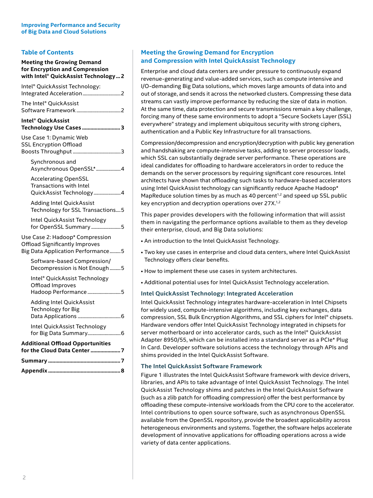# **Table of Contents**

| <b>Meeting the Growing Demand</b><br>for Encryption and Compression<br>with Intel® QuickAssist Technology  2  |
|---------------------------------------------------------------------------------------------------------------|
| Intel <sup>®</sup> QuickAssist Technology:                                                                    |
| The Intel® QuickAssist                                                                                        |
| Intel® QuickAssist<br>Technology Use Cases  3                                                                 |
| Use Case 1: Dynamic Web<br><b>SSL Encryption Offload</b>                                                      |
| Synchronous and<br>Asynchronous OpenSSL* 4                                                                    |
| <b>Accelerating OpenSSL</b><br>Transactions with Intel<br>QuickAssist Technology4                             |
| <b>Adding Intel QuickAssist</b><br>Technology for SSL Transactions5                                           |
| Intel QuickAssist Technology<br>for OpenSSL Summary 5                                                         |
| Use Case 2: Hadoop* Compression<br><b>Offload Significantly Improves</b><br>Big Data Application Performance5 |
| Software-based Compression/<br>Decompression is Not Enough5                                                   |
| Intel® QuickAssist Technology<br>Offload Improves<br>Hadoop Performance 5                                     |
| <b>Adding Intel QuickAssist</b><br><b>Technology for Big</b>                                                  |
| Intel QuickAssist Technology<br>for Big Data Summary6                                                         |
| <b>Additional Offload Opportunities</b><br>for the Cloud Data Center  7                                       |
|                                                                                                               |

# **Meeting the Growing Demand for Encryption and Compression with Intel QuickAssist Technology**

Enterprise and cloud data centers are under pressure to continuously expand revenue-generating and value-added services, such as compute intensive and I/O-demanding Big Data solutions, which moves large amounts of data into and out of storage, and sends it across the networked clusters. Compressing these data streams can vastly improve performance by reducing the size of data in motion. At the same time, data protection and secure transmissions remain a key challenge, forcing many of these same environments to adopt a "Secure Sockets Layer (SSL) everywhere" strategy and implement ubiquitous security with strong ciphers, authentication and a Public Key Infrastructure for all transactions.

Compression/decompression and encryption/decryption with public key generation and handshaking are compute-intensive tasks, adding to server processor loads, which SSL can substantially degrade server performance. These operations are ideal candidates for offloading to hardware accelerators in order to reduce the demands on the server processors by requiring significant core resources. Intel architects have shown that offloading such tasks to hardware-based accelerators using Intel QuickAssist technology can significantly reduce Apache Hadoop\* MapReduce solution times by as much as 40 percent<sup>1,2</sup> and speed up SSL public key encryption and decryption operations over 27X.<sup>1,2</sup>

This paper provides developers with the following information that will assist them in navigating the performance options available to them as they develop their enterprise, cloud, and Big Data solutions:

- An introduction to the Intel QuickAssist Technology.
- Two key use cases in enterprise and cloud data centers, where Intel QuickAssist Technology offers clear benefits.
- How to implement these use cases in system architectures.
- Additional potential uses for Intel QuickAssist Technology acceleration.

## **Intel QuickAssist Technology: Integrated Acceleration**

Intel QuickAssist Technology integrates hardware-acceleration in Intel Chipsets for widely used, compute-intensive algorithms, including key exchanges, data compression, SSL Bulk Encryption Algorithms, and SSL ciphers for Intel® chipsets. Hardware vendors offer Intel QuickAssist Technology integrated in chipsets for server motherboard or into accelerator cards, such as the Intel® QuickAssist Adapter 8950/55, which can be installed into a standard server as a PCIe\* Plug In Card. Developer software solutions access the technology through APIs and shims provided in the Intel QuickAssist Software.

## **The Intel QuickAssist Software Framework**

Figure 1 illustrates the Intel QuickAssist Software framework with device drivers, libraries, and APIs to take advantage of Intel QuickAssist Technology. The Intel QuickAssist Technology shims and patches in the Intel QuickAssist Software (such as a zlib patch for offloading compression) offer the best performance by offloading these compute-intensive workloads from the CPU core to the accelerator. Intel contributions to open source software, such as asynchronous OpenSSL available from the OpenSSL repository, provide the broadest applicability across heterogeneous environments and systems. Together, the software helps accelerate development of innovative applications for offloading operations across a wide variety of data center applications.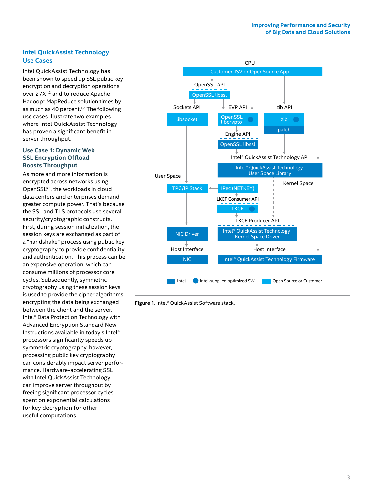# **Intel QuickAssist Technology Use Cases**

Intel QuickAssist Technology has been shown to speed up SSL public key encryption and decryption operations over 27X<sup>1,2</sup> and to reduce Apache Hadoop\* MapReduce solution times by as much as 40 percent.<sup>1,2</sup> The following use cases illustrate two examples where Intel QuickAssist Technology has proven a significant benefit in server throughput.

## **Use Case 1: Dynamic Web SSL Encryption Offload Boosts Throughput**

As more and more information is encrypted across networks using OpenSSL\*3, the workloads in cloud data centers and enterprises demand greater compute power. That's because the SSL and TLS protocols use several security/cryptographic constructs. First, during session initialization, the session keys are exchanged as part of a "handshake" process using public key cryptography to provide confidentiality and authentication. This process can be an expensive operation, which can consume millions of processor core cycles. Subsequently, symmetric cryptography using these session keys is used to provide the cipher algorithms encrypting the data being exchanged between the client and the server. Intel® Data Protection Technology with Advanced Encryption Standard New Instructions available in today's Intel® processors significantly speeds up symmetric cryptography, however, processing public key cryptography can considerably impact server performance. Hardware-accelerating SSL with Intel QuickAssist Technology can improve server throughput by freeing significant processor cycles spent on exponential calculations for key decryption for other useful computations.



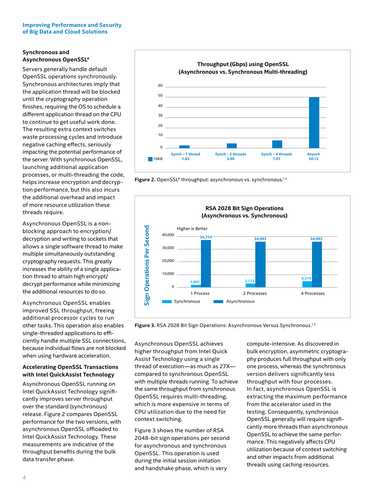# **Synchronous and Asynchronous OpenSSL\***

Servers generally handle default OpenSSL operations synchronously. Synchronous architectures imply that the application thread will be blocked until the cryptography operation finishes, requiring the OS to schedule a different application thread on the CPU to continue to get useful work done. The resulting extra context switches waste processing cycles and introduce negative caching effects, seriously impacting the potential performance of the server. With synchronous OpenSSL, launching additional application processes, or multi-threading the code, helps increase encryption and decryption performance, but this also incurs the additional overhead and impact of more resource utilization these threads require.

Asynchronous OpenSSL is a nonblocking approach to encryption/ decryption and writing to sockets that allows a single software thread to make multiple simultaneously outstanding cryptography requests. This greatly increases the ability of a single application thread to attain high encrypt/ decrypt performance while minimizing the additional resources to do so.

Asynchronous OpenSSL enables improved SSL throughput, freeing additional processor cycles to run other tasks. This operation also enables single-threaded applications to efficiently handle multiple SSL connections, because individual flows are not blocked when using hardware acceleration.

# **Accelerating OpenSSL Transactions with Intel QuickAssist Technology**

Asynchronous OpenSSL running on Intel QuickAssist Technology significantly improves server throughput over the standard (synchronous) release. Figure 2 compares OpenSSL performance for the two versions, with asynchronous OpenSSL offloaded to Intel QuickAssist Technology. These measurements are indicative of the throughput benefits during the bulk data transfer phase.



Figure 2. OpenSSL<sup>\*</sup> throughput: asynchronous vs. synchronous.<sup>1,2</sup>



Figure 3. RSA 2028 Bit Sign Operations: Asynchronous Versus Synchronous.<sup>1,2</sup>

Asynchronous OpenSSL achieves higher throughput from Intel Quick Assist Technology using a single thread of execution—as much as 27X compared to synchronous OpenSSL with multiple threads running. To achieve the same throughput from synchronous OpenSSL requires multi-threading, which is more expensive in terms of CPU utilization due to the need for context switching.

Figure 3 shows the number of RSA 2048-bit sign operations per second for asynchronous and synchronous OpenSSL. This operation is used during the initial session initiation and handshake phase, which is very

compute-intensive. As discovered in bulk encryption, asymmetric cryptography produces full throughput with only one process, whereas the synchronous version delivers significantly less throughput with four processes. In fact, asynchronous OpenSSL is extracting the maximum performance from the accelerator used in the testing. Consequently, synchronous OpenSSL generally will require significantly more threads than asynchronous OpenSSL to achieve the same performance. This negatively affects CPU utilization because of context switching and other impacts from additional threads using caching resources.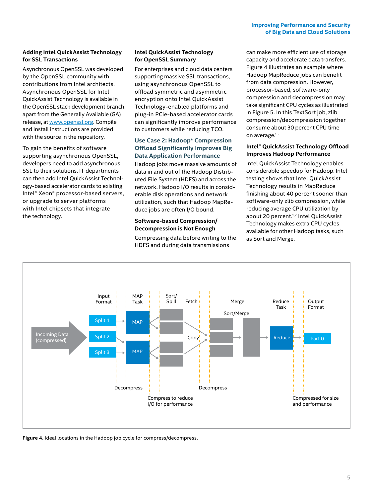## **Adding Intel QuickAssist Technology for SSL Transactions**

Asynchronous OpenSSL was developed by the OpenSSL community with contributions from Intel architects. Asynchronous OpenSSL for Intel QuickAssist Technology is available in the OpenSSL stack development branch, apart from the Generally Available (GA) release, at [www.openssl.org](http://www.openssl.org). Compile and install instructions are provided with the source in the repository.

To gain the benefits of software supporting asynchronous OpenSSL, developers need to add asynchronous SSL to their solutions. IT departments can then add Intel QuickAssist Technology-based accelerator cards to existing Intel® Xeon® processor-based servers, or upgrade to server platforms with Intel chipsets that integrate the technology.

# **Intel QuickAssist Technology for OpenSSL Summary**

For enterprises and cloud data centers supporting massive SSL transactions, using asynchronous OpenSSL to offload symmetric and asymmetric encryption onto Intel QuickAssist Technology-enabled platforms and plug-in PCie-based accelerator cards can significantly improve performance to customers while reducing TCO.

# **Use Case 2: Hadoop\* Compression Offload Significantly Improves Big Data Application Performance**

Hadoop jobs move massive amounts of data in and out of the Hadoop Distributed File System (HDFS) and across the network. Hadoop I/O results in considerable disk operations and network utilization, such that Hadoop MapReduce jobs are often I/O bound.

# **Software-based Compression/ Decompression is Not Enough**

Compressing data before writing to the HDFS and during data transmissions

can make more efficient use of storage capacity and accelerate data transfers. Figure 4 illustrates an example where Hadoop MapReduce jobs can benefit from data compression. However, processor-based, software-only compression and decompression may take significant CPU cycles as illustrated in Figure 5. In this TextSort job, zlib compression/decompression together consume about 30 percent CPU time on average.<sup>1,2</sup>

## **Intel® QuickAssist Technology Offload Improves Hadoop Performance**

Intel QuickAssist Technology enables considerable speedup for Hadoop. Intel testing shows that Intel QuickAssist Technology results in MapReduce finishing about 40 percent sooner than software-only zlib compression, while reducing average CPU utilization by about 20 percent.<sup>1,2</sup> Intel QuickAssist Technology makes extra CPU cycles available for other Hadoop tasks, such as Sort and Merge.



**Figure 4.** Ideal locations in the Hadoop job cycle for compress/decompress.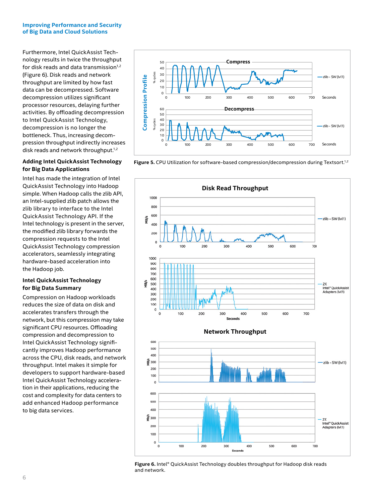Furthermore, Intel QuickAssist Technology results in twice the throughput for disk reads and data transmission $1,2$ (Figure 6). Disk reads and network throughput are limited by how fast data can be decompressed. Software decompression utilizes significant processor resources, delaying further activities. By offloading decompression to Intel QuickAssist Technology, decompression is no longer the bottleneck. Thus, increasing decompression throughput indirectly increases disk reads and network throughput.<sup>1,2</sup>

## **Adding Intel QuickAssist Technology for Big Data Applications**

Intel has made the integration of Intel QuickAssist Technology into Hadoop simple. When Hadoop calls the zlib API, an Intel-supplied zlib patch allows the zlib library to interface to the Intel QuickAssist Technology API. If the Intel technology is present in the server, the modified zlib library forwards the compression requests to the Intel QuickAssist Technology compression accelerators, seamlessly integrating hardware-based acceleration into the Hadoop job.

# **Intel QuickAssist Technology for Big Data Summary**

Compression on Hadoop workloads reduces the size of data on disk and accelerates transfers through the network, but this compression may take significant CPU resources. Offloading compression and decompression to Intel QuickAssist Technology significantly improves Hadoop performance across the CPU, disk reads, and network throughput. Intel makes it simple for developers to support hardware-based Intel QuickAssist Technology acceleration in their applications, reducing the cost and complexity for data centers to add enhanced Hadoop performance to big data services.



Figure 5. CPU Utilization for software-based compression/decompression during Textsort.<sup>1,2</sup>



**Figure 6.** Intel® QuickAssist Technology doubles throughput for Hadoop disk reads and network.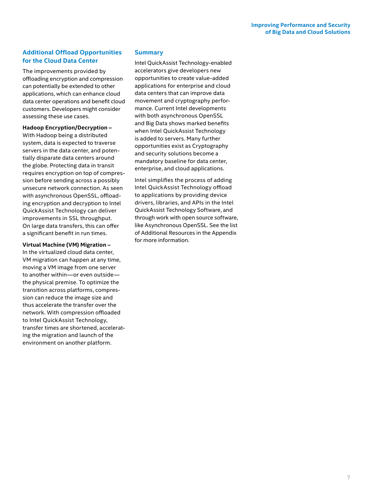# **Additional Offload Opportunities for the Cloud Data Center**

The improvements provided by offloading encryption and compression can potentially be extended to other applications, which can enhance cloud data center operations and benefit cloud customers. Developers might consider assessing these use cases.

**Hadoop Encryption/Decryption –** 

With Hadoop being a distributed system, data is expected to traverse servers in the data center, and potentially disparate data centers around the globe. Protecting data in transit requires encryption on top of compression before sending across a possibly unsecure network connection. As seen with asynchronous OpenSSL, offloading encryption and decryption to Intel QuickAssist Technology can deliver improvements in SSL throughput. On large data transfers, this can offer a significant benefit in run times.

## **Virtual Machine (VM) Migration –**

In the virtualized cloud data center, VM migration can happen at any time, moving a VM image from one server to another within—or even outside the physical premise. To optimize the transition across platforms, compression can reduce the image size and thus accelerate the transfer over the network. With compression offloaded to Intel QuickAssist Technology, transfer times are shortened, accelerating the migration and launch of the environment on another platform.

## **Summary**

Intel QuickAssist Technology-enabled accelerators give developers new opportunities to create value-added applications for enterprise and cloud data centers that can improve data movement and cryptography performance. Current Intel developments with both asynchronous OpenSSL and Big Data shows marked benefits when Intel QuickAssist Technology is added to servers. Many further opportunities exist as Cryptography and security solutions become a mandatory baseline for data center, enterprise, and cloud applications.

Intel simplifies the process of adding Intel QuickAssist Technology offload to applications by providing device drivers, libraries, and APIs in the Intel QuickAssist Technology Software, and through work with open source software, like Asynchronous OpenSSL. See the list of Additional Resources in the Appendix for more information.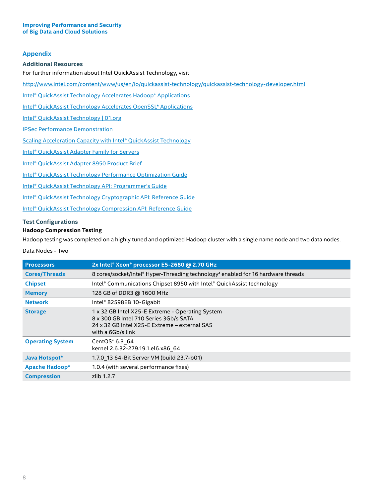# **Appendix**

#### **Additional Resources**

For further information about Intel QuickAssist Technology, visit

http://www.intel.com/content/www/us/en/io/quickassist-technology/quickassist-technology-developer.html

[Intel® QuickAssist Technology Accelerates Hadoop\\* Applications](http://www.intel.com/content/www/us/en/io/quickassist-technology/accelerating-hadoop-applications-brief.html?wapkw=accelerating+hadoop)

[Intel® QuickAssist Technology Accelerates OpenSSL\\* Applications](http://www.intel.com/content/www/us/en/io/quickassist-technology/accelerating-openssl-brief.html?wapkw=accelerating+openssl+with+quickassist)

[Intel® QuickAssist Technology | 01.org](https://01.org/packet-processing/intel®-quickassist-technology-drivers-and-patches)

[IPSec Performance Demonstration](http://www.intel.eg/content/www/xr/en/secure/intelligent-systems/privileged/ipsec-demo-crystal-forest-video.html)

[Scaling Acceleration Capacity with Intel® QuickAssist Technology](http://www.intel.com/content/dam/www/public/us/en/documents/solution-briefs/scaling-acceleration-capacity-brief.pdf)

Intel<sup>®</sup> QuickAssist Adapter Family for Servers

[Intel® QuickAssist Adapter 8950 Product Brief](http://www.intel.com/content/www/us/en/network-adapters/quickassist-adapter-8950-brief.html)

[Intel® QuickAssist Technology Performance Optimization Guide](https://01.org/sites/default/files/page/330687_qat_perf_opt_guide_rev_1.0.pdf)

[Intel® QuickAssist Technology API: Programmer's Guide](http://www.intel.com/content/www/us/en/embedded/technology/quickassist/quickassist-technology-api-programmers-guide.html)

[Intel® QuickAssist Technology Cryptographic API: Reference Guide](http://www.intel.com/content/www/us/en/embedded/technology/quickassist/quickassist-technology-cryptographic-api-reference-guide.html)

[Intel® QuickAssist Technology Compression API: Reference Guide](http://www.intel.com/content/www/us/en/embedded/technology/quickassist/quickassist-technology-compression-api-reference-guide.html)

## **Test Configurations**

## **Hadoop Compression Testing**

Hadoop testing was completed on a highly tuned and optimized Hadoop cluster with a single name node and two data nodes.

#### Data Nodes - Two

| <b>Processors</b>       | 2x Intel® Xeon® processor E5-2680 @ 2.70 GHz                                                                                                                     |
|-------------------------|------------------------------------------------------------------------------------------------------------------------------------------------------------------|
| <b>Cores/Threads</b>    | 8 cores/socket/Intel® Hyper-Threading technology <sup>4</sup> enabled for 16 hardware threads                                                                    |
| <b>Chipset</b>          | Intel® Communications Chipset 8950 with Intel® QuickAssist technology                                                                                            |
| <b>Memory</b>           | 128 GB of DDR3 @ 1600 MHz                                                                                                                                        |
| <b>Network</b>          | Intel® 82598EB 10-Gigabit                                                                                                                                        |
| <b>Storage</b>          | 1 x 32 GB Intel X25-E Extreme - Operating System<br>8 x 300 GB Intel 710 Series 3Gb/s SATA<br>24 x 32 GB Intel X25-E Extreme - external SAS<br>with a 6Gb/s link |
| <b>Operating System</b> | CentOS* 6.3 64<br>kernel 2.6.32-279.19.1.el6.x86 64                                                                                                              |
| Java Hotspot*           | 1.7.0 13 64-Bit Server VM (build 23.7-b01)                                                                                                                       |
| Apache Hadoop*          | 1.0.4 (with several performance fixes)                                                                                                                           |
| <b>Compression</b>      | zlib 1.2.7                                                                                                                                                       |